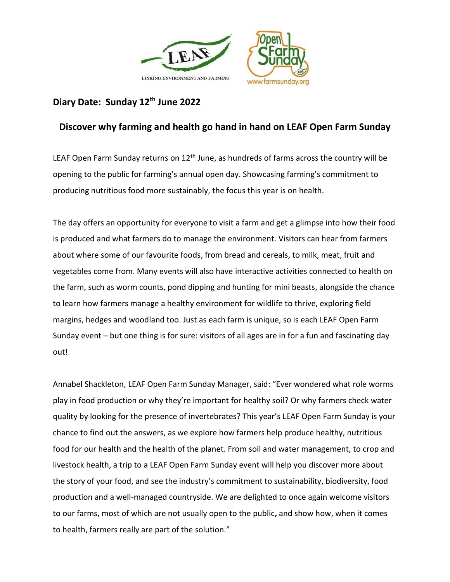

# **Diary Date: Sunday 12th June 2022**

## **Discover why farming and health go hand in hand on LEAF Open Farm Sunday**

LEAF Open Farm Sunday returns on  $12<sup>th</sup>$  June, as hundreds of farms across the country will be opening to the public for farming's annual open day. Showcasing farming's commitment to producing nutritious food more sustainably, the focus this year is on health.

The day offers an opportunity for everyone to visit a farm and get a glimpse into how their food is produced and what farmers do to manage the environment. Visitors can hear from farmers about where some of our favourite foods, from bread and cereals, to milk, meat, fruit and vegetables come from. Many events will also have interactive activities connected to health on the farm, such as worm counts, pond dipping and hunting for mini beasts, alongside the chance to learn how farmers manage a healthy environment for wildlife to thrive, exploring field margins, hedges and woodland too. Just as each farm is unique, so is each LEAF Open Farm Sunday event – but one thing is for sure: visitors of all ages are in for a fun and fascinating day out!

Annabel Shackleton, LEAF Open Farm Sunday Manager, said: "Ever wondered what role worms play in food production or why they're important for healthy soil? Or why farmers check water quality by looking for the presence of invertebrates? This year's LEAF Open Farm Sunday is your chance to find out the answers, as we explore how farmers help produce healthy, nutritious food for our health and the health of the planet. From soil and water management, to crop and livestock health, a trip to a LEAF Open Farm Sunday event will help you discover more about the story of your food, and see the industry's commitment to sustainability, biodiversity, food production and a well-managed countryside. We are delighted to once again welcome visitors to our farms, most of which are not usually open to the public**,** and show how, when it comes to health, farmers really are part of the solution."